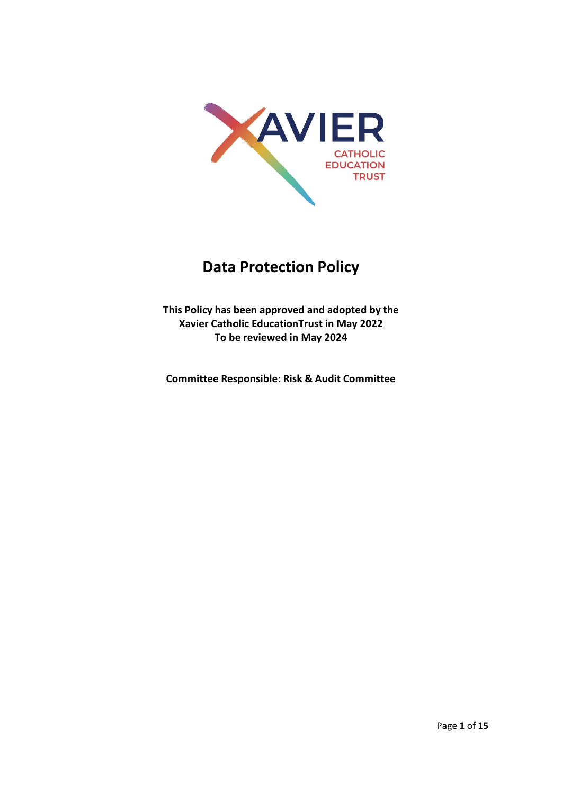

# **Data Protection Policy**

**This Policy has been approved and adopted by the Xavier Catholic EducationTrust in May 2022 To be reviewed in May 2024**

**Committee Responsible: Risk & Audit Committee**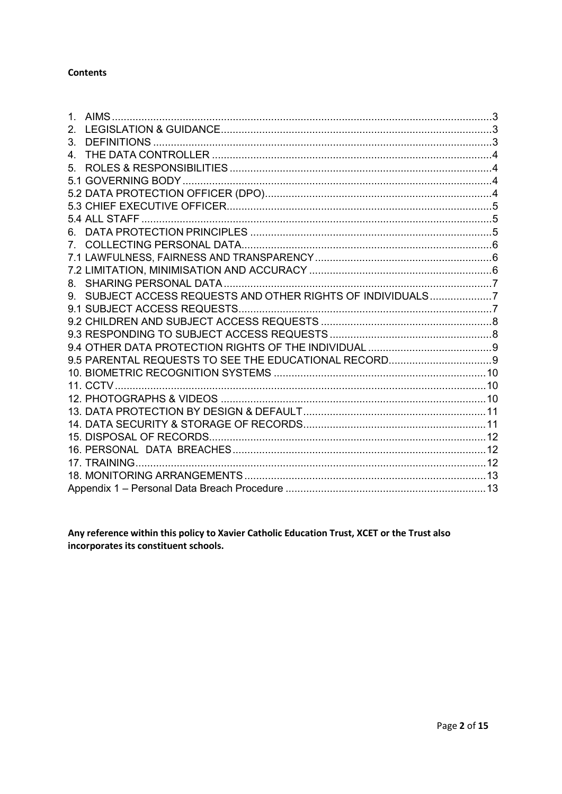#### **Contents**

| $2_{-}$     |                                                             |  |
|-------------|-------------------------------------------------------------|--|
| 3.          |                                                             |  |
| 4.          |                                                             |  |
| 5.          |                                                             |  |
|             |                                                             |  |
|             |                                                             |  |
|             |                                                             |  |
|             |                                                             |  |
| 6.          |                                                             |  |
| $7^{\circ}$ |                                                             |  |
|             |                                                             |  |
|             |                                                             |  |
|             |                                                             |  |
|             | 9. SUBJECT ACCESS REQUESTS AND OTHER RIGHTS OF INDIVIDUALS7 |  |
|             |                                                             |  |
|             |                                                             |  |
|             |                                                             |  |
|             |                                                             |  |
|             |                                                             |  |
|             |                                                             |  |
|             |                                                             |  |
|             |                                                             |  |
|             |                                                             |  |
|             |                                                             |  |
|             |                                                             |  |
|             |                                                             |  |
|             |                                                             |  |
|             |                                                             |  |
|             |                                                             |  |

Any reference within this policy to Xavier Catholic Education Trust, XCET or the Trust also incorporates its constituent schools.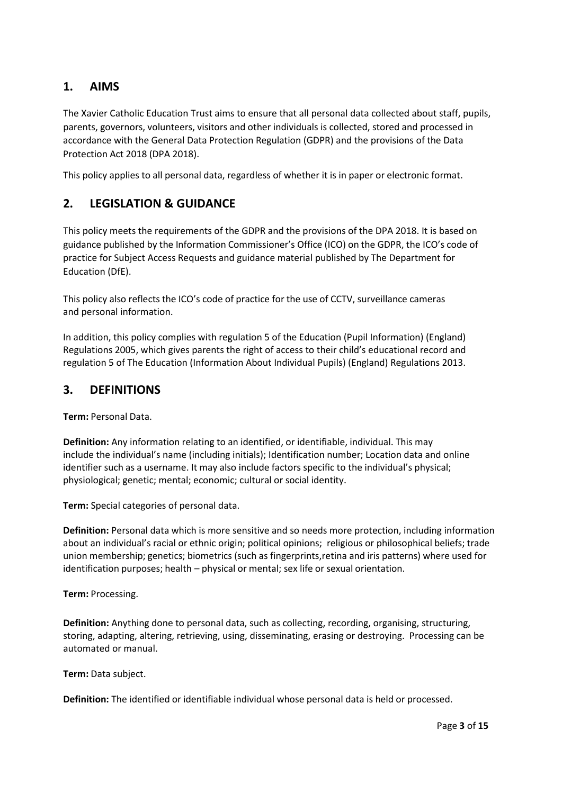## <span id="page-2-0"></span>**1. AIMS**

The Xavier Catholic Education Trust aims to ensure that all personal data collected about staff, pupils, parents, governors, volunteers, visitors and other individuals is collected, stored and processed in accordance with the General Data Protection Regulation (GDPR) and the provisions of the Data Protection Act 2018 (DPA 2018).

This policy applies to all personal data, regardless of whether it is in paper or electronic format.

#### <span id="page-2-1"></span>**2. LEGISLATION & GUIDANCE**

This policy meets the requirements of the GDPR and the provisions of the DPA 2018. It is based on guidance published by the Information Commissioner's Office (ICO) on the GDPR, the ICO's code of practice for Subject Access Requests and guidance material published by The Department for Education (DfE).

This policy also reflects the ICO's code of practice for the use of CCTV, surveillance cameras and personal information.

In addition, this policy complies with regulation 5 of the Education (Pupil Information) (England) Regulations 2005, which gives parents the right of access to their child's educational record and regulation 5 of The Education (Information About Individual Pupils) (England) Regulations 2013.

#### <span id="page-2-2"></span>**3. DEFINITIONS**

**Term:** Personal Data.

**Definition:** Any information relating to an identified, or identifiable, individual. This may include the individual's name (including initials); Identification number; Location data and online identifier such as a username. It may also include factors specific to the individual's physical; physiological; genetic; mental; economic; cultural or social identity.

**Term:** Special categories of personal data.

**Definition:** Personal data which is more sensitive and so needs more protection, including information about an individual's racial or ethnic origin; political opinions; religious or philosophical beliefs; trade union membership; genetics; biometrics (such as fingerprints,retina and iris patterns) where used for identification purposes; health – physical or mental; sex life or sexual orientation.

**Term:** Processing.

**Definition:** Anything done to personal data, such as collecting, recording, organising, structuring, storing, adapting, altering, retrieving, using, disseminating, erasing or destroying. Processing can be automated or manual.

**Term:** Data subject.

**Definition:** The identified or identifiable individual whose personal data is held or processed.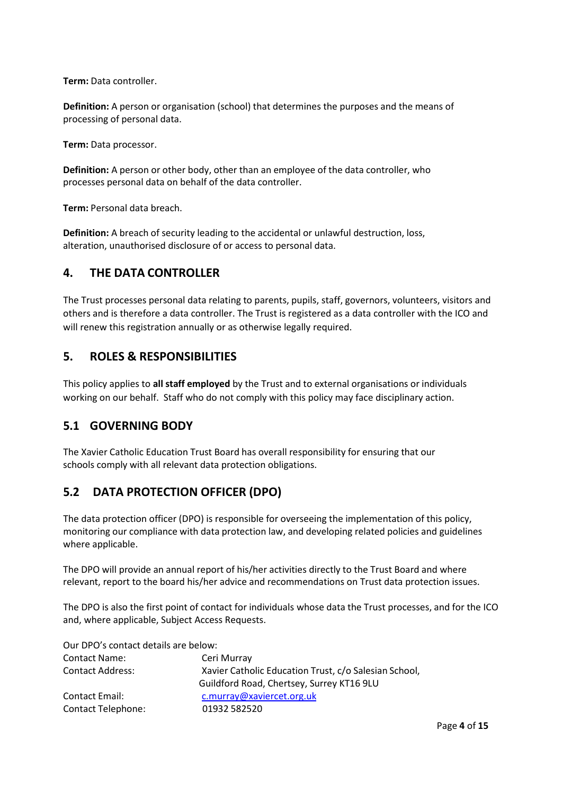**Term:** Data controller.

**Definition:** A person or organisation (school) that determines the purposes and the means of processing of personal data.

**Term:** Data processor.

**Definition:** A person or other body, other than an employee of the data controller, who processes personal data on behalf of the data controller.

**Term:** Personal data breach.

**Definition:** A breach of security leading to the accidental or unlawful destruction, loss, alteration, unauthorised disclosure of or access to personal data.

#### <span id="page-3-0"></span>**4. THE DATA CONTROLLER**

The Trust processes personal data relating to parents, pupils, staff, governors, volunteers, visitors and others and is therefore a data controller. The Trust is registered as a data controller with the ICO and will renew this registration annually or as otherwise legally required.

#### <span id="page-3-1"></span>**5. ROLES & RESPONSIBILITIES**

This policy applies to **all staff employed** by the Trust and to external organisations or individuals working on our behalf. Staff who do not comply with this policy may face disciplinary action.

#### <span id="page-3-2"></span>**5.1 GOVERNING BODY**

The Xavier Catholic Education Trust Board has overall responsibility for ensuring that our schools comply with all relevant data protection obligations.

#### <span id="page-3-3"></span>**5.2 DATA PROTECTION OFFICER (DPO)**

The data protection officer (DPO) is responsible for overseeing the implementation of this policy, monitoring our compliance with data protection law, and developing related policies and guidelines where applicable.

The DPO will provide an annual report of his/her activities directly to the Trust Board and where relevant, report to the board his/her advice and recommendations on Trust data protection issues.

The DPO is also the first point of contact for individuals whose data the Trust processes, and for the ICO and, where applicable, Subject Access Requests.

Our DPO's contact details are below: Contact Name: Ceri Murray Contact Address: Xavier Catholic Education Trust, c/o Salesian School, Guildford Road, Chertsey, Surrey KT16 9LU Contact Email: [c.murray@xaviercet.org.uk](mailto:c.murray@xaviercet.org.uk) Contact Telephone: 01932 582520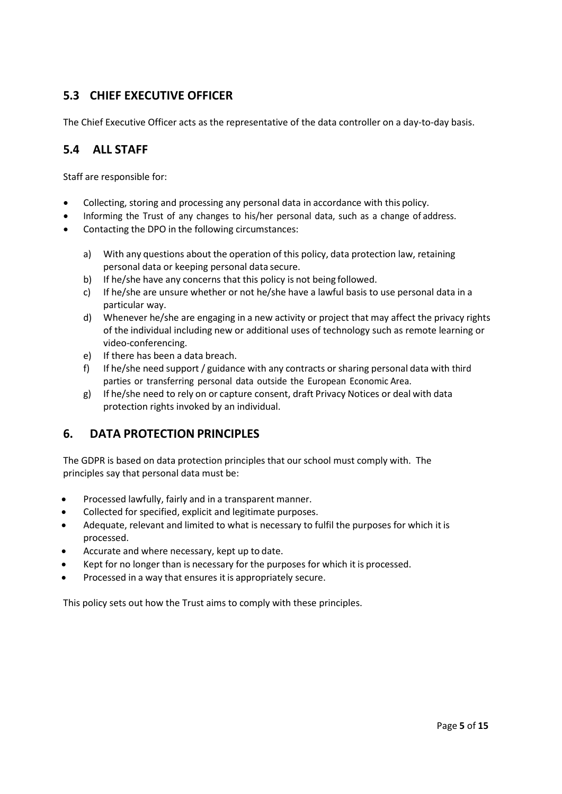## <span id="page-4-0"></span>**5.3 CHIEF EXECUTIVE OFFICER**

The Chief Executive Officer acts as the representative of the data controller on a day-to-day basis.

#### <span id="page-4-1"></span>**5.4 ALL STAFF**

Staff are responsible for:

- Collecting, storing and processing any personal data in accordance with this policy.
- Informing the Trust of any changes to his/her personal data, such as a change of address.
- Contacting the DPO in the following circumstances:
	- a) With any questions about the operation of this policy, data protection law, retaining personal data or keeping personal data secure.
	- b) If he/she have any concerns that this policy is not being followed.
	- c) If he/she are unsure whether or not he/she have a lawful basis to use personal data in a particular way.
	- d) Whenever he/she are engaging in a new activity or project that may affect the privacy rights of the individual including new or additional uses of technology such as remote learning or video-conferencing.
	- e) If there has been a data breach.
	- f) If he/she need support / guidance with any contracts or sharing personal data with third parties or transferring personal data outside the European Economic Area.
	- g) If he/she need to rely on or capture consent, draft Privacy Notices or deal with data protection rights invoked by an individual.

#### <span id="page-4-2"></span>**6. DATA PROTECTION PRINCIPLES**

The GDPR is based on data protection principles that our school must comply with. The principles say that personal data must be:

- Processed lawfully, fairly and in a transparent manner.
- Collected for specified, explicit and legitimate purposes.
- Adequate, relevant and limited to what is necessary to fulfil the purposes for which it is processed.
- Accurate and where necessary, kept up to date.
- Kept for no longer than is necessary for the purposes for which it is processed.
- Processed in a way that ensures it is appropriately secure.

This policy sets out how the Trust aims to comply with these principles.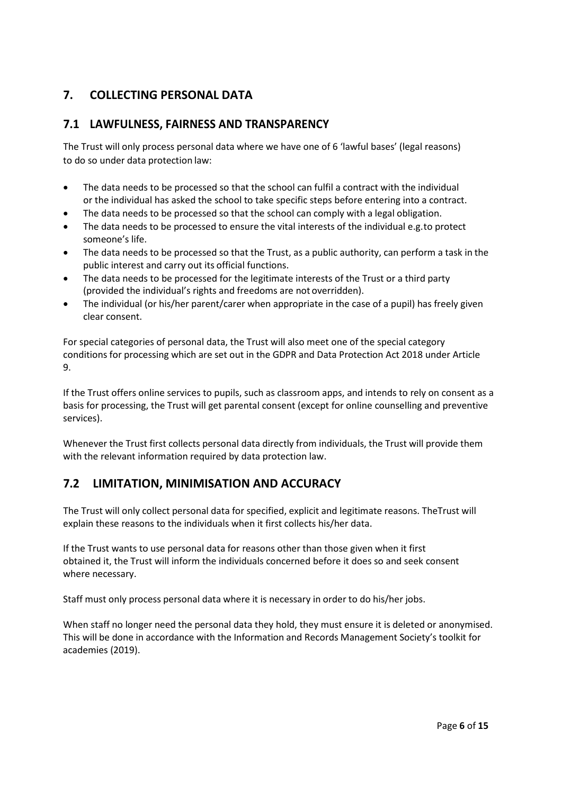# <span id="page-5-0"></span>**7. COLLECTING PERSONAL DATA**

#### <span id="page-5-1"></span>**7.1 LAWFULNESS, FAIRNESS AND TRANSPARENCY**

The Trust will only process personal data where we have one of 6 'lawful bases' (legal reasons) to do so under data protection law:

- The data needs to be processed so that the school can fulfil a contract with the individual or the individual has asked the school to take specific steps before entering into a contract.
- The data needs to be processed so that the school can comply with a legal obligation.
- The data needs to be processed to ensure the vital interests of the individual e.g.to protect someone's life.
- The data needs to be processed so that the Trust, as a public authority, can perform a task in the public interest and carry out its official functions.
- The data needs to be processed for the legitimate interests of the Trust or a third party (provided the individual's rights and freedoms are not overridden).
- The individual (or his/her parent/carer when appropriate in the case of a pupil) has freely given clear consent.

For special categories of personal data, the Trust will also meet one of the special category conditions for processing which are set out in the GDPR and Data Protection Act 2018 under Article 9.

If the Trust offers online services to pupils, such as classroom apps, and intends to rely on consent as a basis for processing, the Trust will get parental consent (except for online counselling and preventive services).

Whenever the Trust first collects personal data directly from individuals, the Trust will provide them with the relevant information required by data protection law.

#### <span id="page-5-2"></span>**7.2 LIMITATION, MINIMISATION AND ACCURACY**

The Trust will only collect personal data for specified, explicit and legitimate reasons. TheTrust will explain these reasons to the individuals when it first collects his/her data.

If the Trust wants to use personal data for reasons other than those given when it first obtained it, the Trust will inform the individuals concerned before it does so and seek consent where necessary.

Staff must only process personal data where it is necessary in order to do his/her jobs.

When staff no longer need the personal data they hold, they must ensure it is deleted or anonymised. This will be done in accordance with the Information and Records Management Society's toolkit for academies (2019).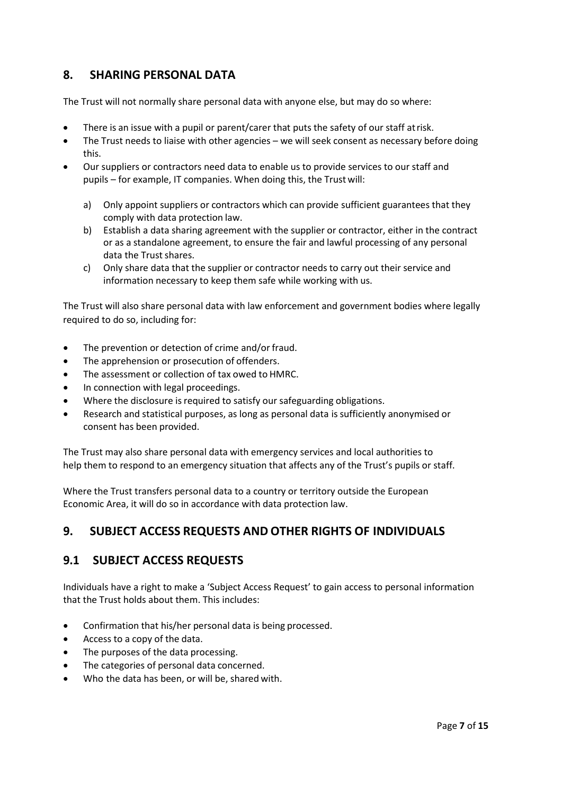## <span id="page-6-0"></span>**8. SHARING PERSONAL DATA**

The Trust will not normally share personal data with anyone else, but may do so where:

- There is an issue with a pupil or parent/carer that puts the safety of our staff at risk.
- The Trust needs to liaise with other agencies we will seek consent as necessary before doing this.
- Our suppliers or contractors need data to enable us to provide services to our staff and pupils – for example, IT companies. When doing this, the Trust will:
	- a) Only appoint suppliers or contractors which can provide sufficient guarantees that they comply with data protection law.
	- b) Establish a data sharing agreement with the supplier or contractor, either in the contract or as a standalone agreement, to ensure the fair and lawful processing of any personal data the Trust shares.
	- c) Only share data that the supplier or contractor needs to carry out their service and information necessary to keep them safe while working with us.

The Trust will also share personal data with law enforcement and government bodies where legally required to do so, including for:

- The prevention or detection of crime and/or fraud.
- The apprehension or prosecution of offenders.
- The assessment or collection of tax owed to HMRC.
- In connection with legal proceedings.
- Where the disclosure is required to satisfy our safeguarding obligations.
- Research and statistical purposes, as long as personal data issufficiently anonymised or consent has been provided.

The Trust may also share personal data with emergency services and local authorities to help them to respond to an emergency situation that affects any of the Trust's pupils or staff.

Where the Trust transfers personal data to a country or territory outside the European Economic Area, it will do so in accordance with data protection law.

## <span id="page-6-1"></span>**9. SUBJECT ACCESS REQUESTS AND OTHER RIGHTS OF INDIVIDUALS**

#### <span id="page-6-2"></span>**9.1 SUBJECT ACCESS REQUESTS**

Individuals have a right to make a 'Subject Access Request' to gain access to personal information that the Trust holds about them. This includes:

- Confirmation that his/her personal data is being processed.
- Access to a copy of the data.
- The purposes of the data processing.
- The categories of personal data concerned.
- Who the data has been, or will be, shared with.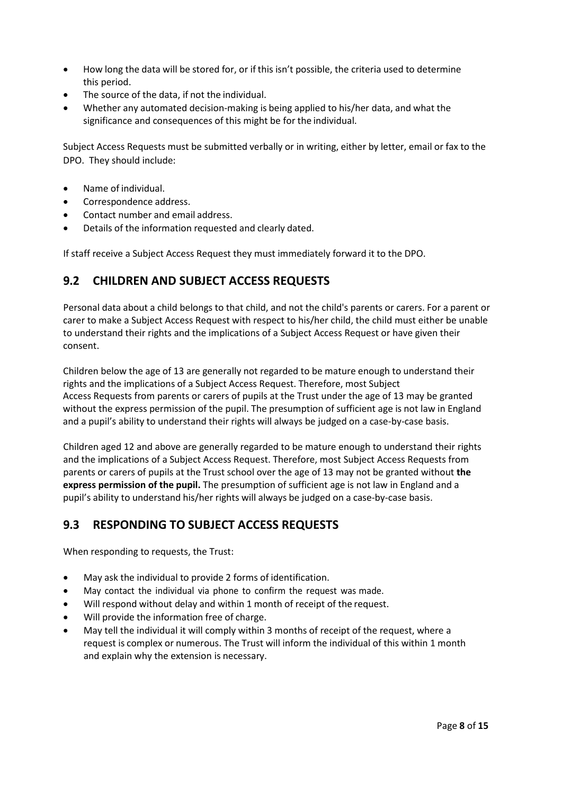- How long the data will be stored for, or if this isn't possible, the criteria used to determine this period.
- The source of the data, if not the individual.
- Whether any automated decision-making is being applied to his/her data, and what the significance and consequences of this might be for the individual.

Subject Access Requests must be submitted verbally or in writing, either by letter, email or fax to the DPO. They should include:

- Name of individual.
- Correspondence address.
- Contact number and email address.
- Details of the information requested and clearly dated.

If staff receive a Subject Access Request they must immediately forward it to the DPO.

## <span id="page-7-0"></span>**9.2 CHILDREN AND SUBJECT ACCESS REQUESTS**

Personal data about a child belongs to that child, and not the child's parents or carers. For a parent or carer to make a Subject Access Request with respect to his/her child, the child must either be unable to understand their rights and the implications of a Subject Access Request or have given their consent.

Children below the age of 13 are generally not regarded to be mature enough to understand their rights and the implications of a Subject Access Request. Therefore, most Subject Access Requests from parents or carers of pupils at the Trust under the age of 13 may be granted without the express permission of the pupil. The presumption of sufficient age is not law in England and a pupil's ability to understand their rights will always be judged on a case-by-case basis.

Children aged 12 and above are generally regarded to be mature enough to understand their rights and the implications of a Subject Access Request. Therefore, most Subject Access Requests from parents or carers of pupils at the Trust school over the age of 13 may not be granted without **the express permission of the pupil.** The presumption of sufficient age is not law in England and a pupil's ability to understand his/her rights will always be judged on a case-by-case basis.

## <span id="page-7-1"></span>**9.3 RESPONDING TO SUBJECT ACCESS REQUESTS**

When responding to requests, the Trust:

- May ask the individual to provide 2 forms of identification.
- May contact the individual via phone to confirm the request was made.
- Will respond without delay and within 1 month of receipt of the request.
- Will provide the information free of charge.
- May tell the individual it will comply within 3 months of receipt of the request, where a request is complex or numerous. The Trust will inform the individual of this within 1 month and explain why the extension is necessary.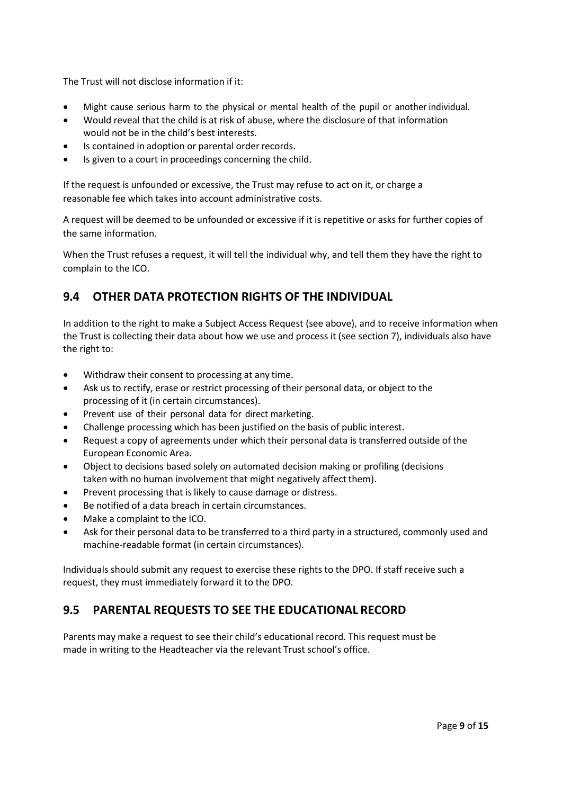The Trust will not disclose information if it:

- Might cause serious harm to the physical or mental health of the pupil or another individual.
- Would reveal that the child is at risk of abuse, where the disclosure of that information would not be in the child's best interests.
- Is contained in adoption or parental order records.
- Is given to a court in proceedings concerning the child.

If the request is unfounded or excessive, the Trust may refuse to act on it, or charge a reasonable fee which takes into account administrative costs.

A request will be deemed to be unfounded or excessive if it is repetitive or asks for further copies of the same information.

When the Trust refuses a request, it will tell the individual why, and tell them they have the right to complain to the ICO.

## <span id="page-8-0"></span>**9.4 OTHER DATA PROTECTION RIGHTS OF THE INDIVIDUAL**

In addition to the right to make a Subject Access Request (see above), and to receive information when the Trust is collecting their data about how we use and process it (see section 7), individuals also have the right to:

- Withdraw their consent to processing at any time.
- Ask us to rectify, erase or restrict processing of their personal data, or object to the processing of it (in certain circumstances).
- Prevent use of their personal data for direct marketing.
- Challenge processing which has been justified on the basis of public interest.
- Request a copy of agreements under which their personal data is transferred outside of the European Economic Area.
- Object to decisions based solely on automated decision making or profiling (decisions taken with no human involvement that might negatively affect them).
- Prevent processing that is likely to cause damage or distress.
- Be notified of a data breach in certain circumstances.
- Make a complaint to the ICO.
- Ask for their personal data to be transferred to a third party in a structured, commonly used and machine-readable format (in certain circumstances).

Individuals should submit any request to exercise these rights to the DPO. If staff receive such a request, they must immediately forward it to the DPO.

#### <span id="page-8-1"></span>**9.5 PARENTAL REQUESTS TO SEE THE EDUCATIONAL RECORD**

Parents may make a request to see their child's educational record. This request must be made in writing to the Headteacher via the relevant Trust school's office.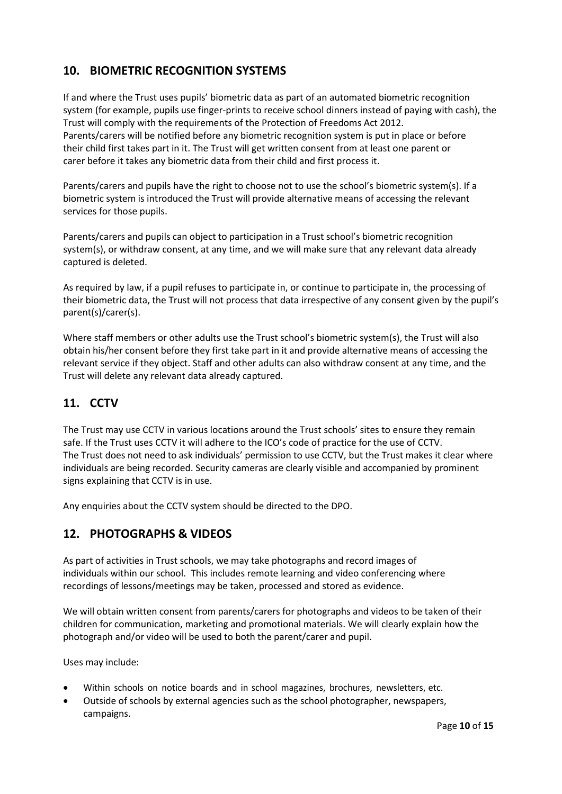# <span id="page-9-0"></span>**10. BIOMETRIC RECOGNITION SYSTEMS**

If and where the Trust uses pupils' biometric data as part of an automated biometric recognition system (for example, pupils use finger-prints to receive school dinners instead of paying with cash), the Trust will comply with the requirements of the Protection of Freedoms Act 2012. Parents/carers will be notified before any biometric recognition system is put in place or before their child first takes part in it. The Trust will get written consent from at least one parent or carer before it takes any biometric data from their child and first process it.

Parents/carers and pupils have the right to choose not to use the school's biometric system(s). If a biometric system is introduced the Trust will provide alternative means of accessing the relevant services for those pupils.

Parents/carers and pupils can object to participation in a Trust school's biometric recognition system(s), or withdraw consent, at any time, and we will make sure that any relevant data already captured is deleted.

As required by law, if a pupil refuses to participate in, or continue to participate in, the processing of their biometric data, the Trust will not process that data irrespective of any consent given by the pupil's parent(s)/carer(s).

Where staff members or other adults use the Trust school's biometric system(s), the Trust will also obtain his/her consent before they first take part in it and provide alternative means of accessing the relevant service if they object. Staff and other adults can also withdraw consent at any time, and the Trust will delete any relevant data already captured.

## <span id="page-9-1"></span>**11. CCTV**

The Trust may use CCTV in various locations around the Trust schools' sites to ensure they remain safe. If the Trust uses CCTV it will adhere to the ICO's code of practice for the use of CCTV. The Trust does not need to ask individuals' permission to use CCTV, but the Trust makes it clear where individuals are being recorded. Security cameras are clearly visible and accompanied by prominent signs explaining that CCTV is in use.

Any enquiries about the CCTV system should be directed to the DPO.

#### <span id="page-9-2"></span>**12. PHOTOGRAPHS & VIDEOS**

As part of activities in Trust schools, we may take photographs and record images of individuals within our school. This includes remote learning and video conferencing where recordings of lessons/meetings may be taken, processed and stored as evidence.

We will obtain written consent from parents/carers for photographs and videos to be taken of their children for communication, marketing and promotional materials. We will clearly explain how the photograph and/or video will be used to both the parent/carer and pupil.

Uses may include:

- Within schools on notice boards and in school magazines, brochures, newsletters, etc.
- Outside of schools by external agencies such as the school photographer, newspapers, campaigns.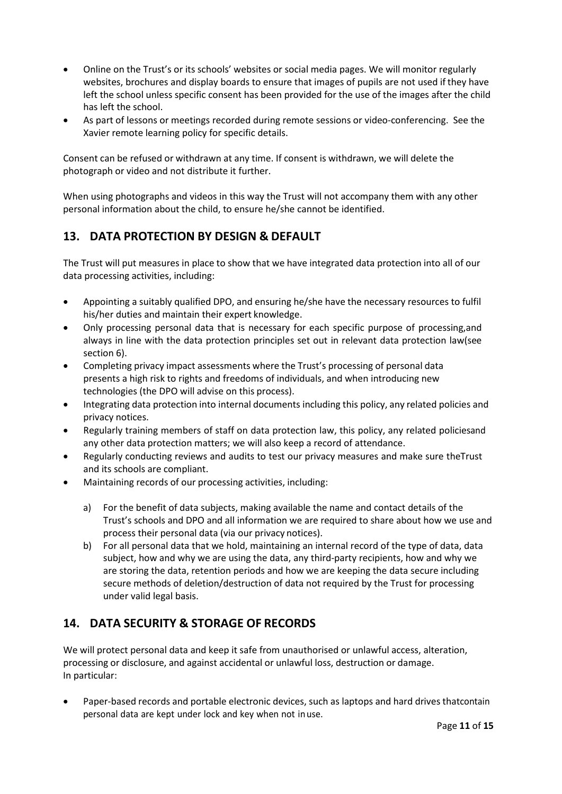- Online on the Trust's or its schools' websites or social media pages. We will monitor regularly websites, brochures and display boards to ensure that images of pupils are not used if they have left the school unless specific consent has been provided for the use of the images after the child has left the school.
- As part of lessons or meetings recorded during remote sessions or video-conferencing. See the Xavier remote learning policy for specific details.

Consent can be refused or withdrawn at any time. If consent is withdrawn, we will delete the photograph or video and not distribute it further.

When using photographs and videos in this way the Trust will not accompany them with any other personal information about the child, to ensure he/she cannot be identified.

## <span id="page-10-0"></span>**13. DATA PROTECTION BY DESIGN & DEFAULT**

The Trust will put measures in place to show that we have integrated data protection into all of our data processing activities, including:

- Appointing a suitably qualified DPO, and ensuring he/she have the necessary resources to fulfil his/her duties and maintain their expert knowledge.
- Only processing personal data that is necessary for each specific purpose of processing,and always in line with the data protection principles set out in relevant data protection law(see section 6).
- Completing privacy impact assessments where the Trust's processing of personal data presents a high risk to rights and freedoms of individuals, and when introducing new technologies (the DPO will advise on this process).
- Integrating data protection into internal documents including this policy, any related policies and privacy notices.
- Regularly training members of staff on data protection law, this policy, any related policiesand any other data protection matters; we will also keep a record of attendance.
- Regularly conducting reviews and audits to test our privacy measures and make sure theTrust and its schools are compliant.
- Maintaining records of our processing activities, including:
	- a) For the benefit of data subjects, making available the name and contact details of the Trust's schools and DPO and all information we are required to share about how we use and process their personal data (via our privacy notices).
	- b) For all personal data that we hold, maintaining an internal record of the type of data, data subject, how and why we are using the data, any third-party recipients, how and why we are storing the data, retention periods and how we are keeping the data secure including secure methods of deletion/destruction of data not required by the Trust for processing under valid legal basis.

# <span id="page-10-1"></span>**14. DATA SECURITY & STORAGE OF RECORDS**

We will protect personal data and keep it safe from unauthorised or unlawful access, alteration, processing or disclosure, and against accidental or unlawful loss, destruction or damage. In particular:

• Paper-based records and portable electronic devices, such as laptops and hard drives thatcontain personal data are kept under lock and key when not inuse.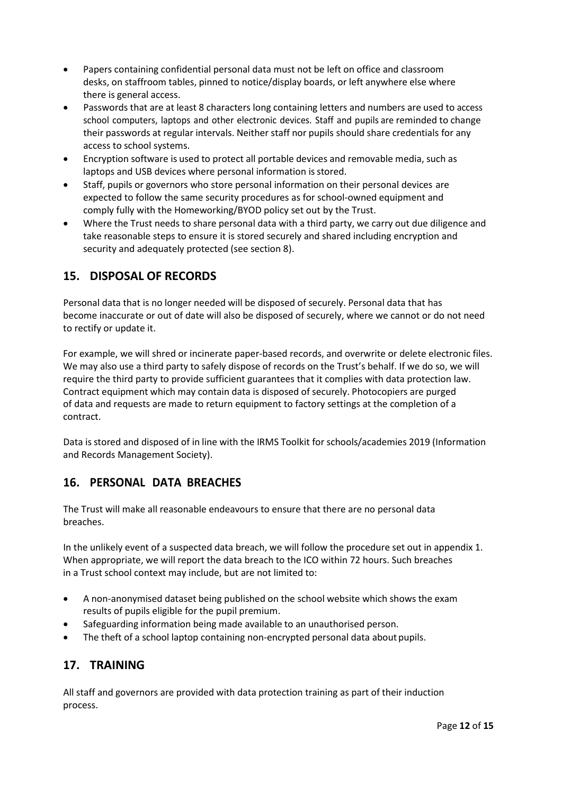- Papers containing confidential personal data must not be left on office and classroom desks, on staffroom tables, pinned to notice/display boards, or left anywhere else where there is general access.
- Passwords that are at least 8 characters long containing letters and numbers are used to access school computers, laptops and other electronic devices. Staff and pupils are reminded to change their passwords at regular intervals. Neither staff nor pupils should share credentials for any access to school systems.
- Encryption software is used to protect all portable devices and removable media, such as laptops and USB devices where personal information is stored.
- Staff, pupils or governors who store personal information on their personal devices are expected to follow the same security procedures as for school-owned equipment and comply fully with the Homeworking/BYOD policy set out by the Trust.
- Where the Trust needs to share personal data with a third party, we carry out due diligence and take reasonable steps to ensure it is stored securely and shared including encryption and security and adequately protected (see section 8).

# <span id="page-11-0"></span>**15. DISPOSAL OF RECORDS**

Personal data that is no longer needed will be disposed of securely. Personal data that has become inaccurate or out of date will also be disposed of securely, where we cannot or do not need to rectify or update it.

For example, we will shred or incinerate paper-based records, and overwrite or delete electronic files. We may also use a third party to safely dispose of records on the Trust's behalf. If we do so, we will require the third party to provide sufficient guarantees that it complies with data protection law. Contract equipment which may contain data is disposed of securely. Photocopiers are purged of data and requests are made to return equipment to factory settings at the completion of a contract.

Data is stored and disposed of in line with the IRMS Toolkit for schools/academies 2019 (Information and Records Management Society).

## <span id="page-11-1"></span>**16. PERSONAL DATA BREACHES**

The Trust will make all reasonable endeavours to ensure that there are no personal data breaches.

In the unlikely event of a suspected data breach, we will follow the procedure set out in appendix 1. When appropriate, we will report the data breach to the ICO within 72 hours. Such breaches in a Trust school context may include, but are not limited to:

- A non-anonymised dataset being published on the school website which shows the exam results of pupils eligible for the pupil premium.
- Safeguarding information being made available to an unauthorised person.
- The theft of a school laptop containing non-encrypted personal data about pupils.

## <span id="page-11-2"></span>**17. TRAINING**

All staff and governors are provided with data protection training as part of their induction process.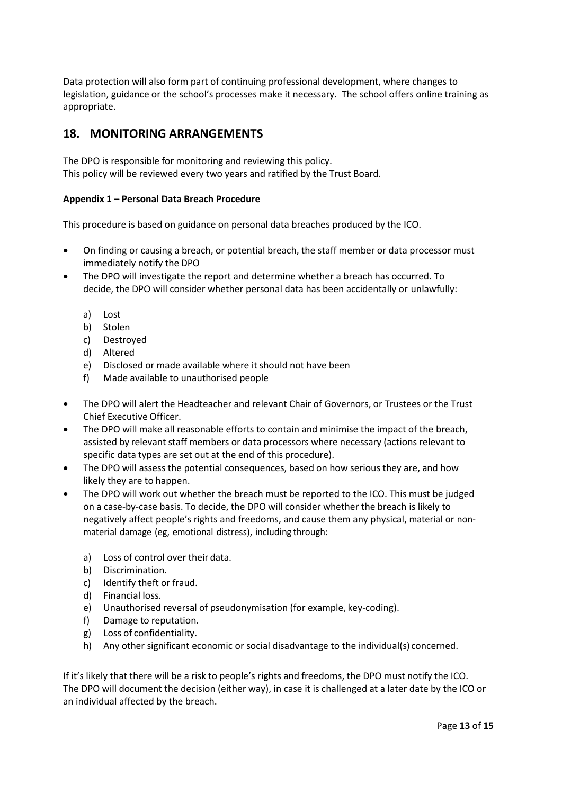Data protection will also form part of continuing professional development, where changes to legislation, guidance or the school's processes make it necessary. The school offers online training as appropriate.

#### <span id="page-12-0"></span>**18. MONITORING ARRANGEMENTS**

The DPO is responsible for monitoring and reviewing this policy. This policy will be reviewed every two years and ratified by the Trust Board.

#### <span id="page-12-1"></span>**Appendix 1 – Personal Data Breach Procedure**

This procedure is based on guidance on personal data breaches produced by the ICO.

- On finding or causing a breach, or potential breach, the staff member or data processor must immediately notify the DPO
- The DPO will investigate the report and determine whether a breach has occurred. To decide, the DPO will consider whether personal data has been accidentally or unlawfully:
	- a) Lost
	- b) Stolen
	- c) Destroyed
	- d) Altered
	- e) Disclosed or made available where itshould not have been
	- f) Made available to unauthorised people
- The DPO will alert the Headteacher and relevant Chair of Governors, or Trustees or the Trust Chief Executive Officer.
- The DPO will make all reasonable efforts to contain and minimise the impact of the breach, assisted by relevant staff members or data processors where necessary (actions relevant to specific data types are set out at the end of this procedure).
- The DPO will assess the potential consequences, based on how serious they are, and how likely they are to happen.
- The DPO will work out whether the breach must be reported to the ICO. This must be judged on a case-by-case basis. To decide, the DPO will consider whether the breach is likely to negatively affect people's rights and freedoms, and cause them any physical, material or nonmaterial damage (eg, emotional distress), including through:
	- a) Loss of control over their data.
	- b) Discrimination.
	- c) Identify theft or fraud.
	- d) Financial loss.
	- e) Unauthorised reversal of pseudonymisation (for example, key-coding).
	- f) Damage to reputation.
	- g) Loss of confidentiality.
	- h) Any other significant economic or social disadvantage to the individual(s) concerned.

If it's likely that there will be a risk to people's rights and freedoms, the DPO must notify the ICO. The DPO will document the decision (either way), in case it is challenged at a later date by the ICO or an individual affected by the breach.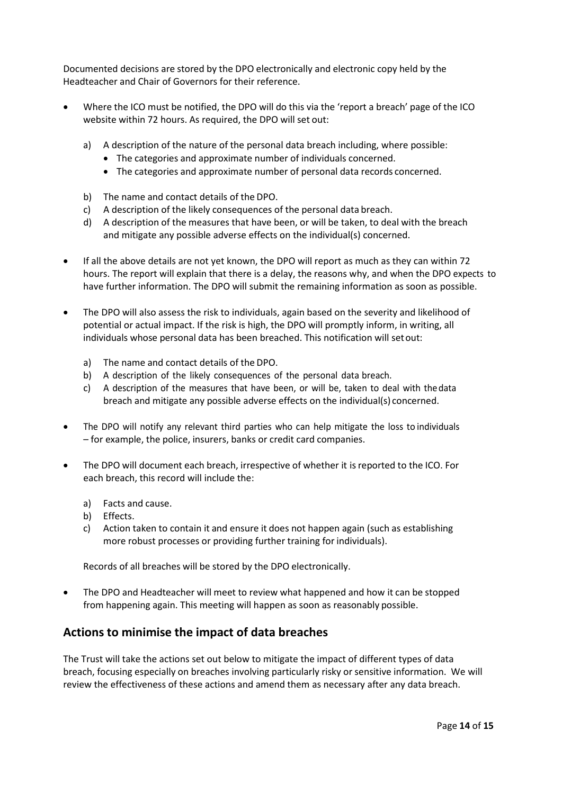Documented decisions are stored by the DPO electronically and electronic copy held by the Headteacher and Chair of Governors for their reference.

- Where the ICO must be notified, the DPO will do this via the 'report a breach' page of the ICO website within 72 hours. As required, the DPO will set out:
	- a) A description of the nature of the personal data breach including, where possible:
		- The categories and approximate number of individuals concerned.
		- The categories and approximate number of personal data records concerned.
	- b) The name and contact details of the DPO.
	- c) A description of the likely consequences of the personal data breach.
	- d) A description of the measures that have been, or will be taken, to deal with the breach and mitigate any possible adverse effects on the individual(s) concerned.
- If all the above details are not yet known, the DPO will report as much as they can within 72 hours. The report will explain that there is a delay, the reasons why, and when the DPO expects to have further information. The DPO will submit the remaining information as soon as possible.
- The DPO will also assess the risk to individuals, again based on the severity and likelihood of potential or actual impact. If the risk is high, the DPO will promptly inform, in writing, all individuals whose personal data has been breached. This notification will setout:
	- a) The name and contact details of the DPO.
	- b) A description of the likely consequences of the personal data breach.
	- c) A description of the measures that have been, or will be, taken to deal with thedata breach and mitigate any possible adverse effects on the individual(s) concerned.
- The DPO will notify any relevant third parties who can help mitigate the loss to individuals – for example, the police, insurers, banks or credit card companies.
- The DPO will document each breach, irrespective of whether it isreported to the ICO. For each breach, this record will include the:
	- a) Facts and cause.
	- b) Effects.
	- c) Action taken to contain it and ensure it does not happen again (such as establishing more robust processes or providing further training for individuals).

Records of all breaches will be stored by the DPO electronically.

• The DPO and Headteacher will meet to review what happened and how it can be stopped from happening again. This meeting will happen as soon as reasonably possible.

#### **Actions to minimise the impact of data breaches**

The Trust will take the actions set out below to mitigate the impact of different types of data breach, focusing especially on breaches involving particularly risky or sensitive information. We will review the effectiveness of these actions and amend them as necessary after any data breach.